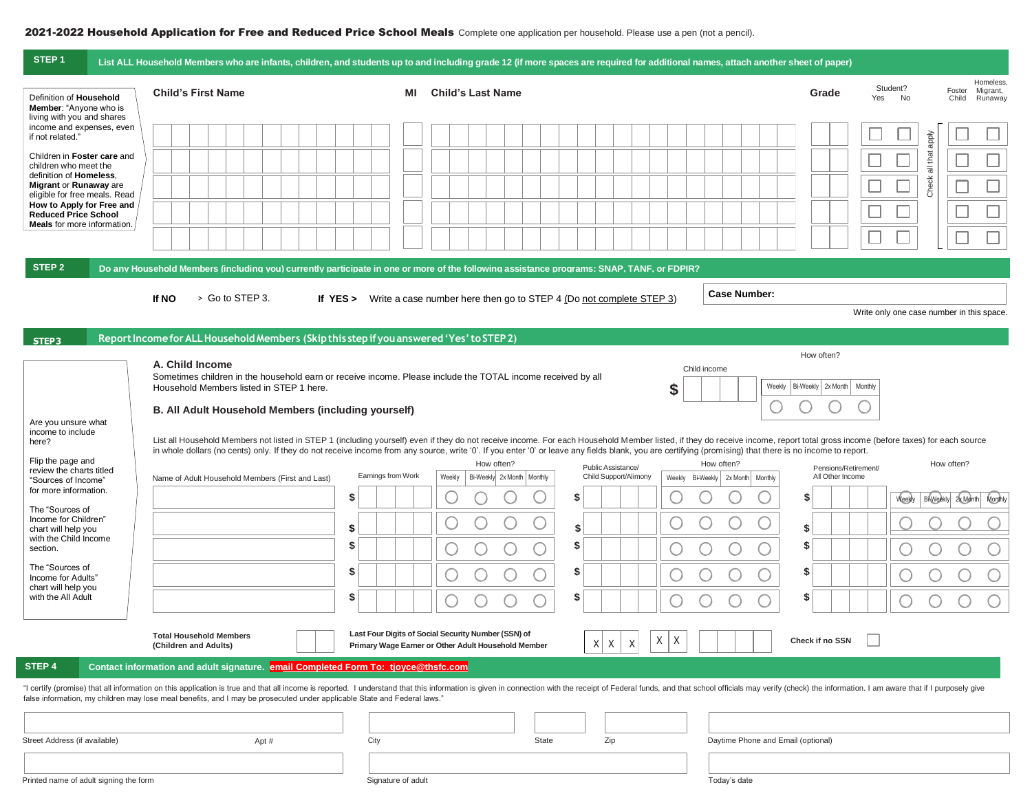## 2021-2022 Household Application for Free and Reduced Price School Meals Complete one application per household. Please use a pen (not a pencil).

| Definition of Household<br><b>Member:</b> "Anyone who is                                                                                                                                                                                                                                                                                                  | <b>Child's First Name</b>                                                                                                                                                  | ΜI                 | <b>Child's Last Name</b>                                                                                                                                                                                                                                                                                                       | Homeless<br>Student?<br>Migrant,<br>Foster<br>Grade<br>Yes<br><b>No</b><br>Child<br>Runaway |
|-----------------------------------------------------------------------------------------------------------------------------------------------------------------------------------------------------------------------------------------------------------------------------------------------------------------------------------------------------------|----------------------------------------------------------------------------------------------------------------------------------------------------------------------------|--------------------|--------------------------------------------------------------------------------------------------------------------------------------------------------------------------------------------------------------------------------------------------------------------------------------------------------------------------------|---------------------------------------------------------------------------------------------|
| living with you and shares<br>income and expenses, even<br>if not related.'<br>Children in Foster care and                                                                                                                                                                                                                                                |                                                                                                                                                                            |                    |                                                                                                                                                                                                                                                                                                                                | Aldde                                                                                       |
| children who meet the<br>definition of Homeless.<br>Migrant or Runaway are<br>eligible for free meals. Read                                                                                                                                                                                                                                               |                                                                                                                                                                            |                    |                                                                                                                                                                                                                                                                                                                                | all that<br>Check                                                                           |
| How to Apply for Free and<br><b>Reduced Price School</b><br><b>Meals</b> for more information.                                                                                                                                                                                                                                                            |                                                                                                                                                                            |                    |                                                                                                                                                                                                                                                                                                                                |                                                                                             |
| STEP <sub>2</sub>                                                                                                                                                                                                                                                                                                                                         |                                                                                                                                                                            |                    | Do any Household Members (including you) currently participate in one or more of the following assistance programs: SNAP, TANF, or FDPIR?                                                                                                                                                                                      |                                                                                             |
|                                                                                                                                                                                                                                                                                                                                                           | If NO<br>> Go to STEP 3.                                                                                                                                                   |                    | <b>Case Number:</b><br>If YES > Write a case number here then go to STEP 4 (Do not complete STEP 3)                                                                                                                                                                                                                            |                                                                                             |
|                                                                                                                                                                                                                                                                                                                                                           |                                                                                                                                                                            |                    |                                                                                                                                                                                                                                                                                                                                | Write only one case number in this space.                                                   |
| STEP3                                                                                                                                                                                                                                                                                                                                                     | Report Income for ALL Household Members (Skip this step if you answered 'Yes' to STEP 2)                                                                                   |                    |                                                                                                                                                                                                                                                                                                                                | How often?                                                                                  |
|                                                                                                                                                                                                                                                                                                                                                           | A. Child Income<br>Sometimes children in the household earn or receive income. Please include the TOTAL income received by all<br>Household Members listed in STEP 1 here. |                    | Child income<br>Weekly<br>\$                                                                                                                                                                                                                                                                                                   | Bi-Weekly 2x Month Monthly                                                                  |
|                                                                                                                                                                                                                                                                                                                                                           |                                                                                                                                                                            |                    |                                                                                                                                                                                                                                                                                                                                |                                                                                             |
|                                                                                                                                                                                                                                                                                                                                                           | B. All Adult Household Members (including yourself)                                                                                                                        |                    |                                                                                                                                                                                                                                                                                                                                |                                                                                             |
|                                                                                                                                                                                                                                                                                                                                                           |                                                                                                                                                                            |                    | List all Household Members not listed in STEP 1 (including yourself) even if they do not receive income. For each Household Member listed, if they do receive income, report total gross income (before taxes) for each source                                                                                                 |                                                                                             |
|                                                                                                                                                                                                                                                                                                                                                           |                                                                                                                                                                            | Earnings from Work | in whole dollars (no cents) only. If they do not receive income from any source, write '0'. If you enter '0' or leave any fields blank, you are certifying (promising) that there is no income to report.<br>How often?<br>How often?<br>Public Assistance/<br>Bi-Weekly 2x Month   Monthly<br>Child Support/Alimony<br>Weekly | How often?<br>Pensions/Retirement/<br>All Other Income                                      |
|                                                                                                                                                                                                                                                                                                                                                           | Name of Adult Household Members (First and Last)<br>\$                                                                                                                     |                    | Weekly Bi-Weekly 2x Month Monthly<br>\$                                                                                                                                                                                                                                                                                        | \$<br>Bi-Weekly 2x Month<br>Weekly<br>Monthly                                               |
|                                                                                                                                                                                                                                                                                                                                                           | \$                                                                                                                                                                         |                    | C<br>O<br>\$                                                                                                                                                                                                                                                                                                                   | \$                                                                                          |
|                                                                                                                                                                                                                                                                                                                                                           | \$                                                                                                                                                                         |                    | \$                                                                                                                                                                                                                                                                                                                             | \$                                                                                          |
|                                                                                                                                                                                                                                                                                                                                                           | \$                                                                                                                                                                         |                    | \$                                                                                                                                                                                                                                                                                                                             | \$                                                                                          |
|                                                                                                                                                                                                                                                                                                                                                           | \$                                                                                                                                                                         |                    | \$                                                                                                                                                                                                                                                                                                                             | \$                                                                                          |
|                                                                                                                                                                                                                                                                                                                                                           | <b>Total Household Members</b><br>(Children and Adults)                                                                                                                    |                    | Last Four Digits of Social Security Number (SSN) of<br>$X \mid X$<br>$X \mid X$<br> X <br>Primary Wage Earner or Other Adult Household Member                                                                                                                                                                                  | Check if no SSN                                                                             |
|                                                                                                                                                                                                                                                                                                                                                           | Contact information and adult signature. email Completed Form To: tjoyce@thsfc.com                                                                                         |                    |                                                                                                                                                                                                                                                                                                                                |                                                                                             |
|                                                                                                                                                                                                                                                                                                                                                           | false information, my children may lose meal benefits, and I may be prosecuted under applicable State and Federal laws."                                                   |                    | "I certify (promise) that all information on this application is true and that all income is reported. I understand that this information is given in connection with the receipt of Federal funds, and that school officials                                                                                                  |                                                                                             |
| Are you unsure what<br>income to include<br>here?<br>Flip the page and<br>review the charts titled<br>"Sources of Income"<br>for more information.<br>The "Sources of<br>Income for Children"<br>chart will help you<br>with the Child Income<br>section.<br>The "Sources of<br>Income for Adults"<br>chart will help you<br>with the All Adult<br>STEP 4 |                                                                                                                                                                            |                    |                                                                                                                                                                                                                                                                                                                                |                                                                                             |